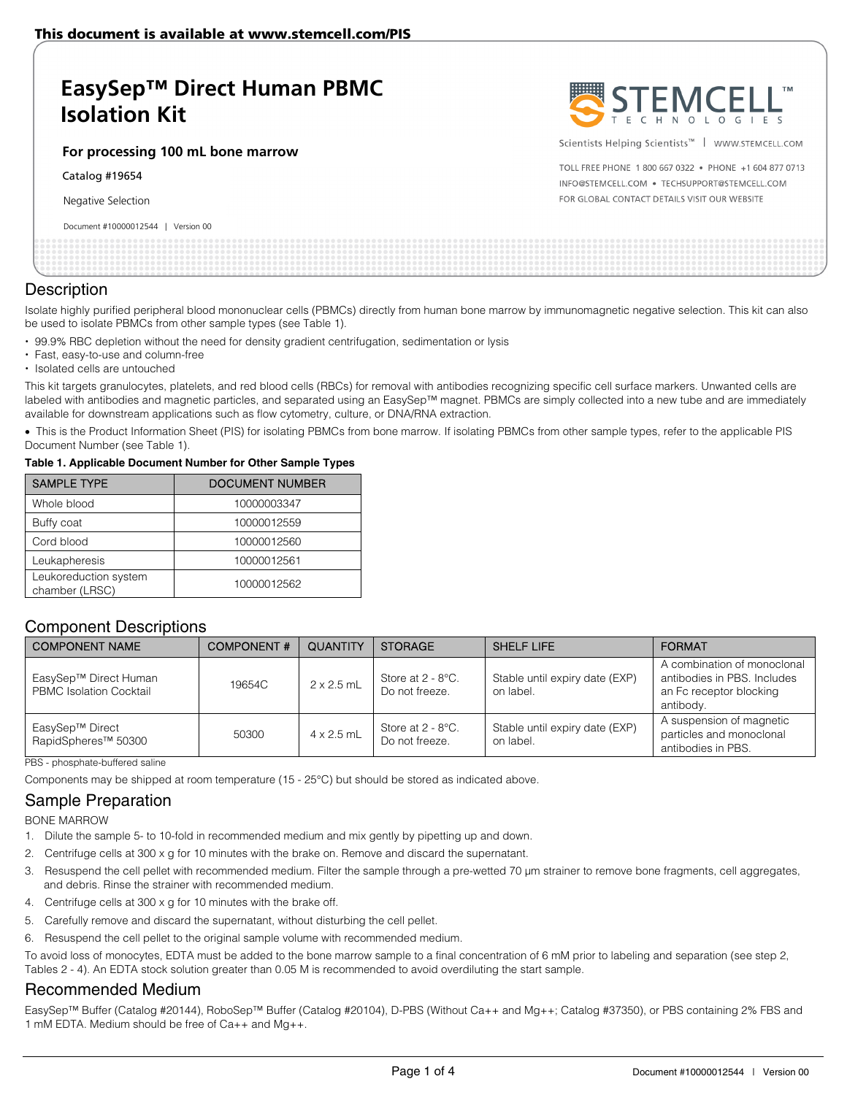# **EasySep™ Direct Human PBMC Isolation Kit**

**For processing 100 mL bone marrow** 

Catalog #19654

Negative Selection

#### Document #10000012544 | Version 00



Scientists Helping Scientists™ | WWW.STEMCELL.COM

TOLL FREE PHONE 1 800 667 0322 . PHONE +1 604 877 0713 INFO@STEMCELL.COM . TECHSUPPORT@STEMCELL.COM FOR GLOBAL CONTACT DETAILS VISIT OUR WEBSITE

#### **Description**

Isolate highly purified peripheral blood mononuclear cells (PBMCs) directly from human bone marrow by immunomagnetic negative selection. This kit can also be used to isolate PBMCs from other sample types (see Table 1).

- 99.9% RBC depletion without the need for density gradient centrifugation, sedimentation or lysis
- Fast, easy-to-use and column-free
- Isolated cells are untouched

This kit targets granulocytes, platelets, and red blood cells (RBCs) for removal with antibodies recognizing specific cell surface markers. Unwanted cells are labeled with antibodies and magnetic particles, and separated using an EasySep™ magnet. PBMCs are simply collected into a new tube and are immediately available for downstream applications such as flow cytometry, culture, or DNA/RNA extraction.

 This is the Product Information Sheet (PIS) for isolating PBMCs from bone marrow. If isolating PBMCs from other sample types, refer to the applicable PIS Document Number (see Table 1).

#### **Table 1. Applicable Document Number for Other Sample Types**

| <b>SAMPLE TYPE</b>                      | <b>DOCUMENT NUMBER</b> |  |  |
|-----------------------------------------|------------------------|--|--|
| Whole blood                             | 10000003347            |  |  |
| Buffy coat                              | 10000012559            |  |  |
| Cord blood                              | 10000012560            |  |  |
| Leukapheresis                           | 10000012561            |  |  |
| Leukoreduction system<br>chamber (LRSC) | 10000012562            |  |  |

### Component Descriptions

| <b>COMPONENT NAME</b>                                   | <b>COMPONENT#</b> | <b>QUANTITY</b>   | <b>STORAGE</b>                         | <b>SHELF LIFE</b>                           | <b>FORMAT</b>                                                                                      |
|---------------------------------------------------------|-------------------|-------------------|----------------------------------------|---------------------------------------------|----------------------------------------------------------------------------------------------------|
| EasySep™ Direct Human<br><b>PBMC Isolation Cocktail</b> | 19654C            | $2 \times 2.5$ mL | Store at $2 - 8$ °C.<br>Do not freeze. | Stable until expiry date (EXP)<br>on label. | A combination of monoclonal<br>antibodies in PBS. Includes<br>an Fc receptor blocking<br>antibody. |
| EasySep™ Direct<br>RapidSpheres <sup>™</sup> 50300      | 50300             | $4 \times 2.5$ mL | Store at $2 - 8$ °C.<br>Do not freeze. | Stable until expiry date (EXP)<br>on label. | A suspension of magnetic<br>particles and monoclonal<br>antibodies in PBS.                         |

PBS - phosphate-buffered saline

Components may be shipped at room temperature (15 - 25°C) but should be stored as indicated above.

# Sample Preparation

BONE MARROW

- 1. Dilute the sample 5- to 10-fold in recommended medium and mix gently by pipetting up and down.
- 2. Centrifuge cells at 300 x g for 10 minutes with the brake on. Remove and discard the supernatant.
- 3. Resuspend the cell pellet with recommended medium. Filter the sample through a pre-wetted 70 µm strainer to remove bone fragments, cell aggregates, and debris. Rinse the strainer with recommended medium.
- 4. Centrifuge cells at 300 x g for 10 minutes with the brake off.
- 5. Carefully remove and discard the supernatant, without disturbing the cell pellet.
- 6. Resuspend the cell pellet to the original sample volume with recommended medium.

To avoid loss of monocytes, EDTA must be added to the bone marrow sample to a final concentration of 6 mM prior to labeling and separation (see step 2, Tables 2 - 4). An EDTA stock solution greater than 0.05 M is recommended to avoid overdiluting the start sample.

### Recommended Medium

EasySep™ Buffer (Catalog #20144), RoboSep™ Buffer (Catalog #20104), D-PBS (Without Ca++ and Mg++; Catalog #37350), or PBS containing 2% FBS and 1 mM EDTA. Medium should be free of Ca++ and Mg++.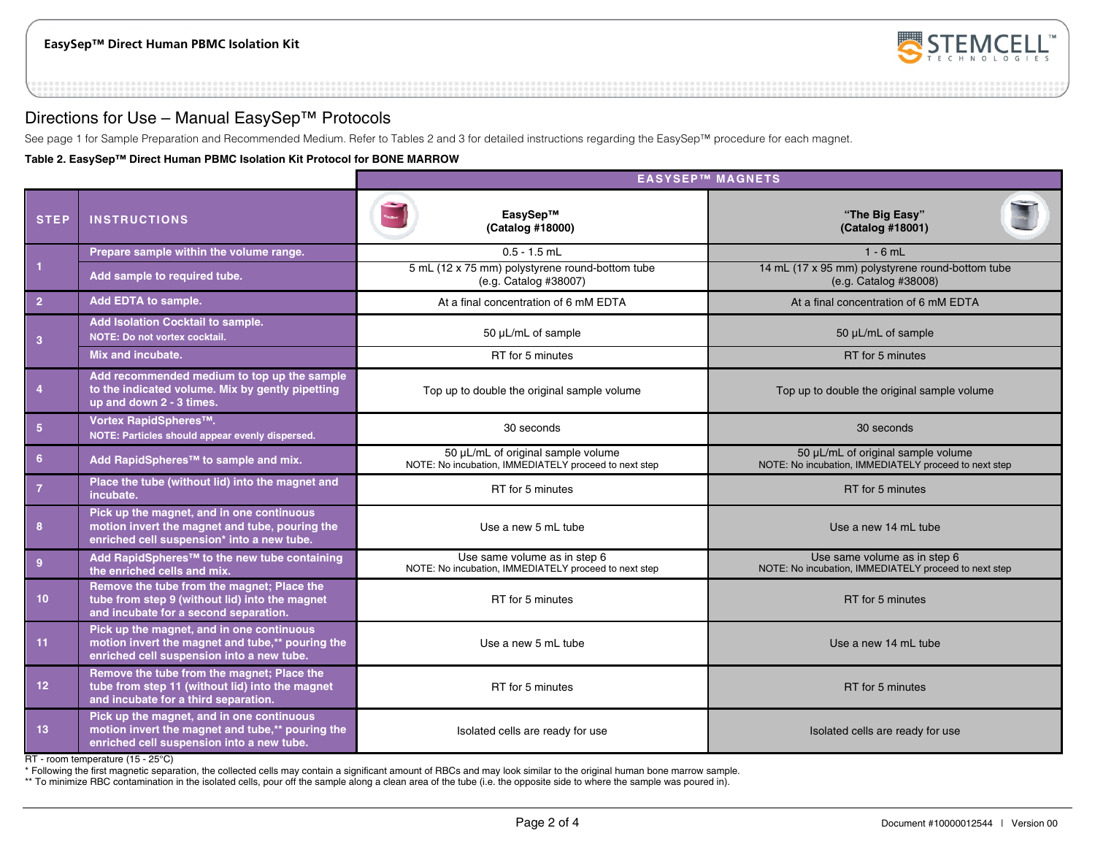

### Directions for Use – Manual EasySep™ Protocols

See page 1 for Sample Preparation and Recommended Medium. Refer to Tables 2 and 3 for detailed instructions regarding the EasySep™ procedure for each magnet.

**Table 2. EasySep™ Direct Human PBMC Isolation Kit Protocol for BONE MARROW** 

|                 |                                                                                                                                            | <b>EASYSEP™ MAGNETS</b>                                                                     |                                                                                             |  |  |
|-----------------|--------------------------------------------------------------------------------------------------------------------------------------------|---------------------------------------------------------------------------------------------|---------------------------------------------------------------------------------------------|--|--|
| <b>STEP</b>     | <b>INSTRUCTIONS</b>                                                                                                                        | EasySep™<br>(Catalog #18000)                                                                | "The Big Easy"<br>(Catalog #18001)                                                          |  |  |
|                 | Prepare sample within the volume range.                                                                                                    | $0.5 - 1.5$ mL                                                                              | $1 - 6$ mL                                                                                  |  |  |
| 1               | Add sample to required tube.                                                                                                               | 5 mL (12 x 75 mm) polystyrene round-bottom tube<br>(e.g. Catalog #38007)                    | 14 mL (17 x 95 mm) polystyrene round-bottom tube<br>(e.g. Catalog #38008)                   |  |  |
| $\overline{2}$  | Add EDTA to sample.                                                                                                                        | At a final concentration of 6 mM EDTA                                                       | At a final concentration of 6 mM EDTA                                                       |  |  |
| 3               | Add Isolation Cocktail to sample.<br>NOTE: Do not vortex cocktail.                                                                         | 50 µL/mL of sample                                                                          | 50 µL/mL of sample                                                                          |  |  |
|                 | Mix and incubate.                                                                                                                          | RT for 5 minutes                                                                            | RT for 5 minutes                                                                            |  |  |
| $\overline{4}$  | Add recommended medium to top up the sample<br>to the indicated volume. Mix by gently pipetting<br>up and down 2 - 3 times.                | Top up to double the original sample volume                                                 | Top up to double the original sample volume                                                 |  |  |
| $5\phantom{.0}$ | Vortex RapidSpheres™.<br>NOTE: Particles should appear evenly dispersed.                                                                   | 30 seconds                                                                                  | 30 seconds                                                                                  |  |  |
| 6 <sup>1</sup>  | Add RapidSpheres <sup>™</sup> to sample and mix.                                                                                           | 50 µL/mL of original sample volume<br>NOTE: No incubation, IMMEDIATELY proceed to next step | 50 µL/mL of original sample volume<br>NOTE: No incubation, IMMEDIATELY proceed to next step |  |  |
| $\overline{7}$  | Place the tube (without lid) into the magnet and<br>incubate.                                                                              | RT for 5 minutes                                                                            | RT for 5 minutes                                                                            |  |  |
| 8               | Pick up the magnet, and in one continuous<br>motion invert the magnet and tube, pouring the<br>enriched cell suspension* into a new tube.  | Use a new 5 mL tube                                                                         | Use a new 14 mL tube                                                                        |  |  |
| $9^{\circ}$     | Add RapidSpheres™ to the new tube containing<br>the enriched cells and mix.                                                                | Use same volume as in step 6<br>NOTE: No incubation, IMMEDIATELY proceed to next step       | Use same volume as in step 6<br>NOTE: No incubation, IMMEDIATELY proceed to next step       |  |  |
| 10 <sup>°</sup> | Remove the tube from the magnet; Place the<br>tube from step 9 (without lid) into the magnet<br>and incubate for a second separation.      | RT for 5 minutes                                                                            | RT for 5 minutes                                                                            |  |  |
| 11              | Pick up the magnet, and in one continuous<br>motion invert the magnet and tube,** pouring the<br>enriched cell suspension into a new tube. | Use a new 5 mL tube                                                                         | Use a new 14 mL tube                                                                        |  |  |
| 12 <sub>2</sub> | Remove the tube from the magnet; Place the<br>tube from step 11 (without lid) into the magnet<br>and incubate for a third separation.      | RT for 5 minutes                                                                            | RT for 5 minutes                                                                            |  |  |
| 13 <sup>°</sup> | Pick up the magnet, and in one continuous<br>motion invert the magnet and tube,** pouring the<br>enriched cell suspension into a new tube. | Isolated cells are ready for use                                                            | Isolated cells are ready for use                                                            |  |  |

RT - room temperature (15 - 25°C)

\* Following the first magnetic separation, the collected cells may contain a significant amount of RBCs and may look similar to the original human bone marrow sample.

\*\* To minimize RBC contamination in the isolated cells, pour off the sample along a clean area of the tube (i.e. the opposite side to where the sample was poured in).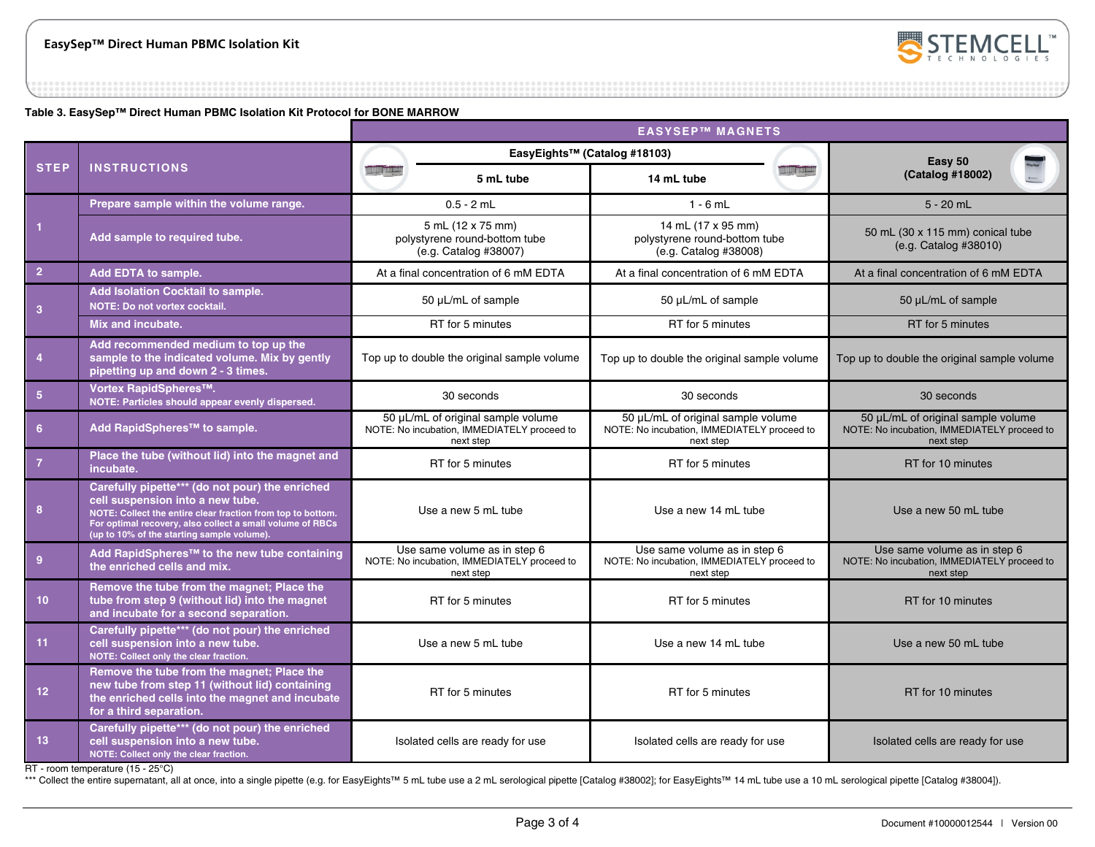

**Table 3. EasySep™ Direct Human PBMC Isolation Kit Protocol for BONE MARROW**

|                         |                                                                                                                                                                                                                                                               | <b>EASYSEP™ MAGNETS</b>                                                                        |                                                                                          |                                                                                                |                |                                                                                                |
|-------------------------|---------------------------------------------------------------------------------------------------------------------------------------------------------------------------------------------------------------------------------------------------------------|------------------------------------------------------------------------------------------------|------------------------------------------------------------------------------------------|------------------------------------------------------------------------------------------------|----------------|------------------------------------------------------------------------------------------------|
|                         |                                                                                                                                                                                                                                                               | EasyEights™ (Catalog #18103)                                                                   |                                                                                          |                                                                                                | Easy 50        |                                                                                                |
| <b>STEP</b>             | <b>INSTRUCTIONS</b>                                                                                                                                                                                                                                           |                                                                                                | 5 mL tube                                                                                | 14 mL tube                                                                                     | <b>III THE</b> | (Catalog #18002)                                                                               |
|                         | Prepare sample within the volume range.                                                                                                                                                                                                                       |                                                                                                | $0.5 - 2$ mL                                                                             | $1 - 6$ mL                                                                                     |                | $5 - 20$ mL                                                                                    |
| $\vert$                 | Add sample to required tube.                                                                                                                                                                                                                                  |                                                                                                | 5 mL (12 x 75 mm)<br>polystyrene round-bottom tube<br>(e.g. Catalog #38007)              | 14 mL (17 x 95 mm)<br>polystyrene round-bottom tube<br>(e.g. Catalog #38008)                   |                | 50 mL (30 x 115 mm) conical tube<br>(e.g. Catalog #38010)                                      |
| $\overline{2}$          | Add EDTA to sample.                                                                                                                                                                                                                                           |                                                                                                | At a final concentration of 6 mM EDTA                                                    | At a final concentration of 6 mM EDTA                                                          |                | At a final concentration of 6 mM EDTA                                                          |
| $\overline{\mathbf{3}}$ | Add Isolation Cocktail to sample.<br>NOTE: Do not vortex cocktail.                                                                                                                                                                                            |                                                                                                | 50 µL/mL of sample                                                                       | 50 µL/mL of sample                                                                             |                | 50 µL/mL of sample                                                                             |
|                         | Mix and incubate.                                                                                                                                                                                                                                             |                                                                                                | RT for 5 minutes                                                                         | RT for 5 minutes                                                                               |                | RT for 5 minutes                                                                               |
| $\overline{4}$          | Add recommended medium to top up the<br>sample to the indicated volume. Mix by gently<br>pipetting up and down 2 - 3 times.                                                                                                                                   | Top up to double the original sample volume                                                    |                                                                                          | Top up to double the original sample volume                                                    |                | Top up to double the original sample volume                                                    |
| $\sqrt{5}$              | Vortex RapidSpheres™.<br>NOTE: Particles should appear evenly dispersed.                                                                                                                                                                                      | 30 seconds                                                                                     |                                                                                          | 30 seconds                                                                                     |                | 30 seconds                                                                                     |
| 6                       | Add RapidSpheres™ to sample.                                                                                                                                                                                                                                  | 50 µL/mL of original sample volume<br>NOTE: No incubation, IMMEDIATELY proceed to<br>next step |                                                                                          | 50 µL/mL of original sample volume<br>NOTE: No incubation, IMMEDIATELY proceed to<br>next step |                | 50 µL/mL of original sample volume<br>NOTE: No incubation, IMMEDIATELY proceed to<br>next step |
| $\overline{7}$          | Place the tube (without lid) into the magnet and<br>incubate.                                                                                                                                                                                                 | RT for 5 minutes                                                                               |                                                                                          | RT for 5 minutes                                                                               |                | RT for 10 minutes                                                                              |
| 8                       | Carefully pipette*** (do not pour) the enriched<br>cell suspension into a new tube.<br>NOTE: Collect the entire clear fraction from top to bottom.<br>For optimal recovery, also collect a small volume of RBCs<br>(up to 10% of the starting sample volume). | Use a new 5 mL tube                                                                            |                                                                                          | Use a new 14 mL tube                                                                           |                | Use a new 50 mL tube                                                                           |
| 9                       | Add RapidSpheres™ to the new tube containing<br>the enriched cells and mix.                                                                                                                                                                                   |                                                                                                | Use same volume as in step 6<br>NOTE: No incubation, IMMEDIATELY proceed to<br>next step | Use same volume as in step 6<br>NOTE: No incubation, IMMEDIATELY proceed to<br>next step       |                | Use same volume as in step 6<br>NOTE: No incubation, IMMEDIATELY proceed to<br>next step       |
| 10 <sup>°</sup>         | Remove the tube from the magnet; Place the<br>tube from step 9 (without lid) into the magnet<br>and incubate for a second separation.                                                                                                                         |                                                                                                | RT for 5 minutes                                                                         | RT for 5 minutes                                                                               |                | RT for 10 minutes                                                                              |
| 11                      | Carefully pipette*** (do not pour) the enriched<br>cell suspension into a new tube.<br>NOTE: Collect only the clear fraction.                                                                                                                                 | Use a new 5 mL tube                                                                            |                                                                                          | Use a new 14 mL tube                                                                           |                | Use a new 50 mL tube                                                                           |
| 12 <sub>2</sub>         | Remove the tube from the magnet; Place the<br>new tube from step 11 (without lid) containing<br>the enriched cells into the magnet and incubate<br>for a third separation.                                                                                    | RT for 5 minutes                                                                               |                                                                                          | RT for 5 minutes                                                                               |                | RT for 10 minutes                                                                              |
| 13                      | Carefully pipette*** (do not pour) the enriched<br>cell suspension into a new tube.<br>NOTE: Collect only the clear fraction.                                                                                                                                 | Isolated cells are ready for use                                                               |                                                                                          | Isolated cells are ready for use                                                               |                | Isolated cells are ready for use                                                               |

RT - room temperature (15 - 25°C)

\*\*\* Collect the entire supernatant, all at once, into a single pipette (e.g. for EasyEights™ 5 mL tube use a 2 mL serological pipette [Catalog #38002]; for EasyEights™ 14 mL tube use a 10 mL serological pipette [Catalog #3